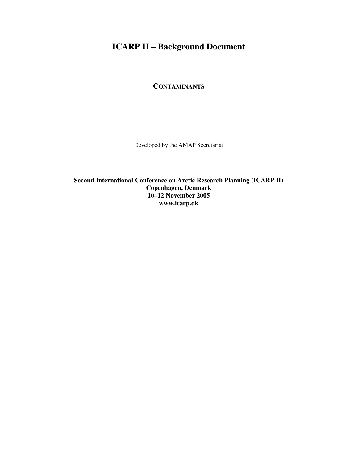# **ICARP II – Background Document**

**CONTAMINANTS**

Developed by the AMAP Secretariat

**Second International Conference on Arctic Research Planning (ICARP II) Copenhagen, Denmark 10–12 November 2005 www.icarp.dk**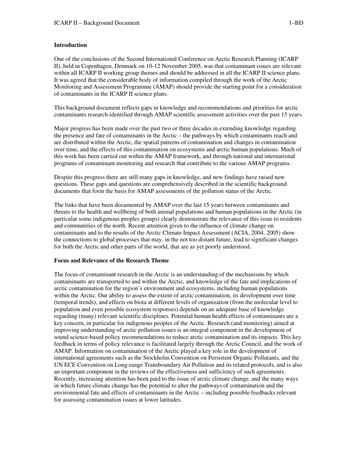One of the conclusions of the Second International Conference on Arctic Research Planning (ICARP II), held in Copenhagen, Denmark on 10-12 November 2005, was that contaminant issues are relevant within all ICARP II working group themes and should be addressed in all the ICARP II science plans. It was agreed that the considerable body of information compiled through the work of the Arctic Monitoring and Assessment Programme (AMAP) should provide the starting point for a consideration of contaminants in the ICARP II science plans.

This background document reflects gaps in knowledge and recommendations and priorities for arctic contaminants research identified through AMAP scientific assessment activities over the past 15 years.

Major progress has been made over the past two or three decades in extending knowledge regarding the presence and fate of contaminants in the Arctic – the pathways by which contaminants reach and are distributed within the Arctic, the spatial patterns of contamination and changes in contamination over time, and the effects of this contamination on ecosystems and arctic human populations. Much of this work has been carried out within the AMAP framework, and through national and international programs of contaminant monitoring and research that contribute to the various AMAP programs.

Despite this progress there are still many gaps in knowledge, and new findings have raised new questions. These gaps and questions are comprehensively described in the scientific background documents that form the basis for AMAP assessments of the pollution status of the Arctic.

The links that have been documented by AMAP over the last 15 years between contaminants and threats to the health and wellbeing of both animal populations and human populations in the Arctic (in particular some indigenous peoples groups) clearly demonstrate the relevance of this issue to residents and communities of the north. Recent attention given to the influence of climate change on contaminants and to the results of the Arctic Climate Impact Assessment (ACIA, 2004, 2005) show the connections to global processes that may, in the not too distant future, lead to significant changes for both the Arctic and other parts of the world, that are as yet poorly understood.

#### **Focus and Relevance of the Research Theme**

The focus of contaminant research in the Arctic is an understanding of the mechanisms by which contaminants are transported to and within the Arctic, and knowledge of the fate and implications of arctic contamination for the region's environment and ecosystems, including human populations within the Arctic. Our ability to assess the extent of arctic contamination, its development over time (temporal trends), and effects on biota at different levels of organization (from the molecular level to population and even possible ecosystem responses) depends on an adequate base of knowledge regarding (many) relevant scientific disciplines. Potential human health effects of contaminants are a key concern, in particular for indigenous peoples of the Arctic. Research (and monitoring) aimed at improving understanding of arctic pollution issues is an integral component in the development of sound science-based policy recommendations to reduce arctic contamination and its impacts. This key feedback in terms of policy relevance is facilitated largely through the Arctic Council, and the work of AMAP. Information on contamination of the Arctic played a key role in the development of international agreements such as the Stockholm Convention on Persistent Organic Pollutants, and the UN ECE Convention on Long-range Transboundary Air Pollution and its related protocols, and is also an important component in the reviews of the effectiveness and sufficiency of such agreements. Recently, increasing attention has been paid to the issue of arctic climate change, and the many ways in which future climate change has the potential to alter the pathways of contamination and the environmental fate and effects of contaminants in the Arctic – including possible feedbacks relevant for assessing contamination issues at lower latitudes.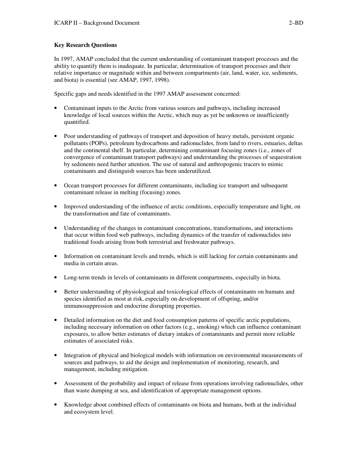# **Key Research Questions**

In 1997, AMAP concluded that the current understanding of contaminant transport processes and the ability to quantify them is inadequate. In particular, determination of transport processes and their relative importance or magnitude within and between compartments (air, land, water, ice, sediments, and biota) is essential (see AMAP, 1997, 1998).

Specific gaps and needs identified in the 1997 AMAP assessment concerned:

- Contaminant inputs to the Arctic from various sources and pathways, including increased knowledge of local sources within the Arctic, which may as yet be unknown or insufficiently quantified.
- Poor understanding of pathways of transport and deposition of heavy metals, persistent organic pollutants (POPs), petroleum hydrocarbons and radionuclides, from land to rivers, estuaries, deltas and the continental shelf. In particular, determining contaminant focusing zones (i.e., zones of convergence of contaminant transport pathways) and understanding the processes of sequestration by sediments need further attention. The use of natural and anthropogenic tracers to mimic contaminants and distinguish sources has been underutilized.
- Ocean transport processes for different contaminants, including ice transport and subsequent contaminant release in melting (focusing) zones.
- Improved understanding of the influence of arctic conditions, especially temperature and light, on the transformation and fate of contaminants.
- Understanding of the changes in contaminant concentrations, transformations, and interactions that occur within food web pathways, including dynamics of the transfer of radionuclides into traditional foods arising from both terrestrial and freshwater pathways.
- Information on contaminant levels and trends, which is still lacking for certain contaminants and media in certain areas.
- Long-term trends in levels of contaminants in different compartments, especially in biota.
- Better understanding of physiological and toxicological effects of contaminants on humans and species identified as most at risk, especially on development of offspring, and/or immunosuppression and endocrine disrupting properties.
- Detailed information on the diet and food consumption patterns of specific arctic populations, including necessary information on other factors (e.g., smoking) which can influence contaminant exposures, to allow better estimates of dietary intakes of contaminants and permit more reliable estimates of associated risks.
- Integration of physical and biological models with information on environmental measurements of sources and pathways, to aid the design and implementation of monitoring, research, and management, including mitigation.
- Assessment of the probability and impact of release from operations involving radionuclides, other than waste dumping at sea, and identification of appropriate management options.
- Knowledge about combined effects of contaminants on biota and humans, both at the individual and ecosystem level.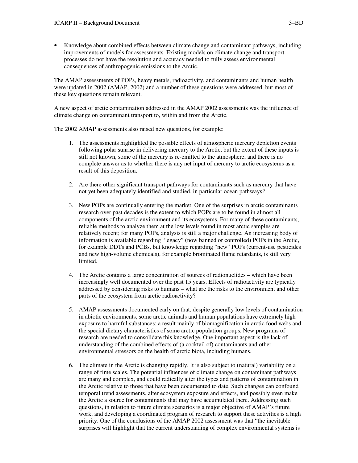• Knowledge about combined effects between climate change and contaminant pathways, including improvements of models for assessments. Existing models on climate change and transport processes do not have the resolution and accuracy needed to fully assess environmental consequences of anthropogenic emissions to the Arctic.

The AMAP assessments of POPs, heavy metals, radioactivity, and contaminants and human health were updated in 2002 (AMAP, 2002) and a number of these questions were addressed, but most of these key questions remain relevant.

A new aspect of arctic contamination addressed in the AMAP 2002 assessments was the influence of climate change on contaminant transport to, within and from the Arctic.

The 2002 AMAP assessments also raised new questions, for example:

- 1. The assessments highlighted the possible effects of atmospheric mercury depletion events following polar sunrise in delivering mercury to the Arctic, but the extent of these inputs is still not known, some of the mercury is re-emitted to the atmosphere, and there is no complete answer as to whether there is any net input of mercury to arctic ecosystems as a result of this deposition.
- 2. Are there other significant transport pathways for contaminants such as mercury that have not yet been adequately identified and studied, in particular ocean pathways?
- 3. New POPs are continually entering the market. One of the surprises in arctic contaminants research over past decades is the extent to which POPs are to be found in almost all components of the arctic environment and its ecosystems. For many of these contaminants, reliable methods to analyze them at the low levels found in most arctic samples are relatively recent; for many POPs, analysis is still a major challenge. An increasing body of information is available regarding "legacy" (now banned or controlled) POPs in the Arctic, for example DDTs and PCBs, but knowledge regarding "new" POPs (current-use pesticides and new high-volume chemicals), for example brominated flame retardants, is still very limited.
- 4. The Arctic contains a large concentration of sources of radionuclides which have been increasingly well documented over the past 15 years. Effects of radioactivity are typically addressed by considering risks to humans – what are the risks to the environment and other parts of the ecosystem from arctic radioactivity?
- 5. AMAP assessments documented early on that, despite generally low levels of contamination in abiotic environments, some arctic animals and human populations have extremely high exposure to harmful substances; a result mainly of biomagnification in arctic food webs and the special dietary characteristics of some arctic population groups. New programs of research are needed to consolidate this knowledge. One important aspect is the lack of understanding of the combined effects of (a cocktail of) contaminants and other environmental stressors on the health of arctic biota, including humans.
- 6. The climate in the Arctic is changing rapidly. It is also subject to (natural) variability on a range of time scales. The potential influences of climate change on contaminant pathways are many and complex, and could radically alter the types and patterns of contamination in the Arctic relative to those that have been documented to date. Such changes can confound temporal trend assessments, alter ecosystem exposure and effects, and possibly even make the Arctic a source for contaminants that may have accumulated there. Addressing such questions, in relation to future climate scenarios is a major objective of AMAP's future work, and developing a coordinated program of research to support these activities is a high priority. One of the conclusions of the AMAP 2002 assessment was that "the inevitable surprises will highlight that the current understanding of complex environmental systems is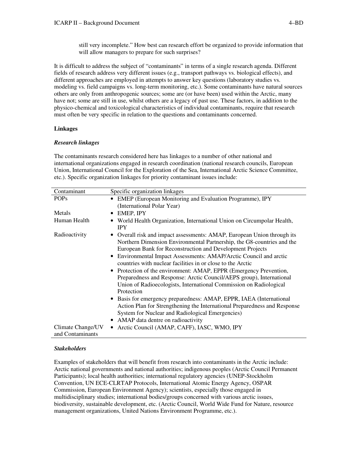still very incomplete." How best can research effort be organized to provide information that will allow managers to prepare for such surprises?

It is difficult to address the subject of "contaminants" in terms of a single research agenda. Different fields of research address very different issues (e.g., transport pathways vs. biological effects), and different approaches are employed in attempts to answer key questions (laboratory studies vs. modeling vs. field campaigns vs. long-term monitoring, etc.). Some contaminants have natural sources others are only from anthropogenic sources; some are (or have been) used within the Arctic, many have not; some are still in use, whilst others are a legacy of past use. These factors, in addition to the physico-chemical and toxicological characteristics of individual contaminants, require that research must often be very specific in relation to the questions and contaminants concerned.

## **Linkages**

#### *Research linkages*

The contaminants research considered here has linkages to a number of other national and international organizations engaged in research coordination (national research councils, European Union, International Council for the Exploration of the Sea, International Arctic Science Committee, etc.). Specific organization linkages for priority contaminant issues include:

| Contaminant       | Specific organization linkages                                                                                                                                                                                                                                                                                                                                                                                                                                                                                                                                                                                                                                                                                                                                                                                                                  |
|-------------------|-------------------------------------------------------------------------------------------------------------------------------------------------------------------------------------------------------------------------------------------------------------------------------------------------------------------------------------------------------------------------------------------------------------------------------------------------------------------------------------------------------------------------------------------------------------------------------------------------------------------------------------------------------------------------------------------------------------------------------------------------------------------------------------------------------------------------------------------------|
| <b>POPs</b>       | • EMEP (European Monitoring and Evaluation Programme), IPY                                                                                                                                                                                                                                                                                                                                                                                                                                                                                                                                                                                                                                                                                                                                                                                      |
|                   | (International Polar Year)                                                                                                                                                                                                                                                                                                                                                                                                                                                                                                                                                                                                                                                                                                                                                                                                                      |
| Metals            | EMEP, IPY<br>$\bullet$                                                                                                                                                                                                                                                                                                                                                                                                                                                                                                                                                                                                                                                                                                                                                                                                                          |
| Human Health      | World Health Organization, International Union on Circumpolar Health,<br><b>IPY</b>                                                                                                                                                                                                                                                                                                                                                                                                                                                                                                                                                                                                                                                                                                                                                             |
| Radioactivity     | • Overall risk and impact assessments: AMAP, European Union through its<br>Northern Dimension Environmental Partnership, the G8-countries and the<br>European Bank for Reconstruction and Development Projects<br>Environmental Impact Assessments: AMAP/Arctic Council and arctic<br>$\bullet$<br>countries with nuclear facilities in or close to the Arctic<br>• Protection of the environment: AMAP, EPPR (Emergency Prevention,<br>Preparedness and Response: Arctic Council/AEPS group), International<br>Union of Radioecologists, International Commission on Radiological<br>Protection<br>• Basis for emergency preparedness: AMAP, EPPR, IAEA (International<br>Action Plan for Strengthening the International Preparedness and Response<br>System for Nuclear and Radiological Emergencies)<br>• AMAP data dentre on radioactivity |
| Climate Change/UV | • Arctic Council (AMAP, CAFF), IASC, WMO, IPY                                                                                                                                                                                                                                                                                                                                                                                                                                                                                                                                                                                                                                                                                                                                                                                                   |
| and Contaminants  |                                                                                                                                                                                                                                                                                                                                                                                                                                                                                                                                                                                                                                                                                                                                                                                                                                                 |

#### *Stakeholders*

Examples of stakeholders that will benefit from research into contaminants in the Arctic include: Arctic national governments and national authorities; indigenous peoples (Arctic Council Permanent Participants); local health authorities; international regulatory agencies (UNEP-Stockholm Convention, UN ECE-CLRTAP Protocols, International Atomic Energy Agency, OSPAR Commission, European Environment Agency); scientists, especially those engaged in multidisciplinary studies; international bodies/groups concerned with various arctic issues, biodiversity, sustainable development, etc. (Arctic Council, World Wide Fund for Nature, resource management organizations, United Nations Environment Programme, etc.).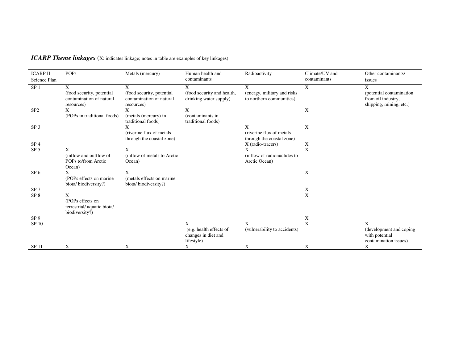| <b>ICARP II</b><br>Science Plan | <b>POPs</b>                                                              | Metals (mercury)                                                         | Human health and<br>contaminants                             | Radioactivity                                                 | Climate/UV and<br>contaminants | Other contaminants/<br>issues                                                  |
|---------------------------------|--------------------------------------------------------------------------|--------------------------------------------------------------------------|--------------------------------------------------------------|---------------------------------------------------------------|--------------------------------|--------------------------------------------------------------------------------|
| SP <sub>1</sub>                 | X<br>(food security, potential<br>contamination of natural<br>resources) | X<br>(food security, potential<br>contamination of natural<br>resources) | X<br>(food security and health,<br>drinking water supply)    | X<br>(energy, military and risks)<br>to northern communities) | X                              | X<br>(potential contamination<br>from oil industry,<br>shipping, mining, etc.) |
| SP <sub>2</sub>                 | X<br>(POPs in traditional foods)                                         | X<br>(metals (mercury) in<br>traditional foods)                          | X<br>(contaminants in<br>traditional foods)                  |                                                               | X                              |                                                                                |
| SP <sub>3</sub>                 |                                                                          | X<br>(riverine flux of metals)<br>through the coastal zone)              |                                                              | X<br>(riverine flux of metals)<br>through the coastal zone)   | X                              |                                                                                |
| SP <sub>4</sub>                 |                                                                          |                                                                          |                                                              | X (radio-tracers)                                             | X                              |                                                                                |
| SP <sub>5</sub>                 | X                                                                        | X                                                                        |                                                              | X                                                             | X                              |                                                                                |
|                                 | (inflow and outflow of<br>POPs to/from Arctic<br>Ocean)                  | (inflow of metals to Arctic<br>Ocean)                                    |                                                              | (inflow of radionuclides to<br>Arctic Ocean)                  |                                |                                                                                |
| SP <sub>6</sub>                 | X<br>(POPs effects on marine)<br>biota/biodiversity?)                    | X<br>(metals effects on marine<br>biota/biodiversity?)                   |                                                              |                                                               | X                              |                                                                                |
| SP <sub>7</sub>                 |                                                                          |                                                                          |                                                              |                                                               | X                              |                                                                                |
| SP <sub>8</sub>                 | X                                                                        |                                                                          |                                                              |                                                               | $\mathbf X$                    |                                                                                |
|                                 | (POPs effects on<br>terrestrial/aquatic biota/<br>biodiversity?)         |                                                                          |                                                              |                                                               |                                |                                                                                |
| SP <sub>9</sub>                 |                                                                          |                                                                          |                                                              |                                                               | X                              |                                                                                |
| SP 10                           |                                                                          |                                                                          | X                                                            | X                                                             | X                              | X                                                                              |
|                                 |                                                                          |                                                                          | (e.g. health effects of<br>changes in diet and<br>lifestyle) | (vulnerability to accidents)                                  |                                | (development and coping)<br>with potential<br>contamination issues)            |
| SP 11                           | X                                                                        | X                                                                        | X                                                            | X                                                             | X                              | X                                                                              |

*ICARP Theme linkages* (X: indicates linkage; notes in table are examples of key linkages)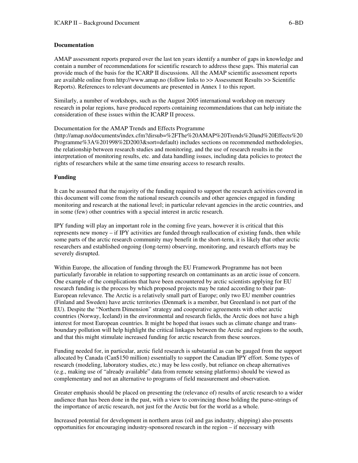#### **Documentation**

AMAP assessment reports prepared over the last ten years identify a number of gaps in knowledge and contain a number of recommendations for scientific research to address these gaps. This material can provide much of the basis for the ICARP II discussions. All the AMAP scientific assessment reports are available online from http://www.amap.no (follow links to >> Assessment Results >> Scientific Reports). References to relevant documents are presented in Annex 1 to this report.

Similarly, a number of workshops, such as the August 2005 international workshop on mercury research in polar regions, have produced reports containing recommendations that can help initiate the consideration of these issues within the ICARP II process.

Documentation for the AMAP Trends and Effects Programme

(http://amap.no/documents/index.cfm?dirsub=%2FThe%20AMAP%20Trends%20and%20Effects%20 Programme%3A%201998%2D2003&sort=default) includes sections on recommended methodologies, the relationship between research studies and monitoring, and the use of research results in the interpretation of monitoring results, etc. and data handling issues, including data policies to protect the rights of researchers while at the same time ensuring access to research results.

## **Funding**

It can be assumed that the majority of the funding required to support the research activities covered in this document will come from the national research councils and other agencies engaged in funding monitoring and research at the national level; in particular relevant agencies in the arctic countries, and in some (few) other countries with a special interest in arctic research.

IPY funding will play an important role in the coming five years, however it is critical that this represents new money – if IPY activities are funded through reallocation of existing funds, then while some parts of the arctic research community may benefit in the short-term, it is likely that other arctic researchers and established ongoing (long-term) observing, monitoring, and research efforts may be severely disrupted.

Within Europe, the allocation of funding through the EU Framework Programme has not been particularly favorable in relation to supporting research on contaminants as an arctic issue of concern. One example of the complications that have been encountered by arctic scientists applying for EU research funding is the process by which proposed projects may be rated according to their pan-European relevance. The Arctic is a relatively small part of Europe; only two EU member countries (Finland and Sweden) have arctic territories (Denmark is a member, but Greenland is not part of the EU). Despite the "Northern Dimension" strategy and cooperative agreements with other arctic countries (Norway, Iceland) in the environmental and research fields, the Arctic does not have a high interest for most European countries. It might be hoped that issues such as climate change and transboundary pollution will help highlight the critical linkages between the Arctic and regions to the south, and that this might stimulate increased funding for arctic research from these sources.

Funding needed for, in particular, arctic field research is substantial as can be gauged from the support allocated by Canada (Can\$150 million) essentially to support the Canadian IPY effort. Some types of research (modeling, laboratory studies, etc.) may be less costly, but reliance on cheap alternatives (e.g., making use of "already available" data from remote sensing platforms) should be viewed as complementary and not an alternative to programs of field measurement and observation.

Greater emphasis should be placed on presenting the (relevance of) results of arctic research to a wider audience than has been done in the past, with a view to convincing those holding the purse-strings of the importance of arctic research, not just for the Arctic but for the world as a whole.

Increased potential for development in northern areas (oil and gas industry, shipping) also presents opportunities for encouraging industry-sponsored research in the region – if necessary with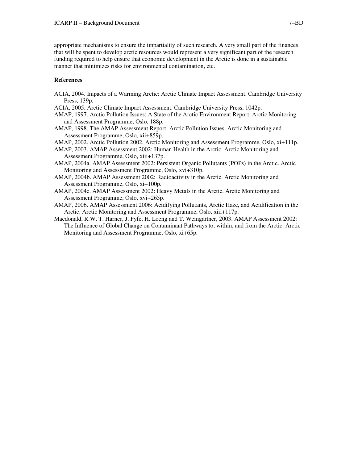appropriate mechanisms to ensure the impartiality of such research. A very small part of the finances that will be spent to develop arctic resources would represent a very significant part of the research funding required to help ensure that economic development in the Arctic is done in a sustainable manner that minimizes risks for environmental contamination, etc.

#### **References**

- ACIA, 2004. Impacts of a Warming Arctic: Arctic Climate Impact Assessment. Cambridge University Press, 139p.
- ACIA, 2005. Arctic Climate Impact Assessment. Cambridge University Press, 1042p.
- AMAP, 1997. Arctic Pollution Issues: A State of the Arctic Environment Report. Arctic Monitoring and Assessment Programme, Oslo, 188p.
- AMAP, 1998. The AMAP Assessment Report: Arctic Pollution Issues. Arctic Monitoring and Assessment Programme, Oslo, xii+859p.
- AMAP, 2002. Arctic Pollution 2002. Arctic Monitoring and Assessment Programme, Oslo, xi+111p.
- AMAP, 2003. AMAP Assessment 2002: Human Health in the Arctic. Arctic Monitoring and Assessment Programme, Oslo, xiii+137p.
- AMAP, 2004a. AMAP Assessment 2002: Persistent Organic Pollutants (POPs) in the Arctic. Arctic Monitoring and Assessment Programme, Oslo, xvi+310p.
- AMAP, 2004b. AMAP Assessment 2002: Radioactivity in the Arctic. Arctic Monitoring and Assessment Programme, Oslo, xi+100p.
- AMAP, 2004c. AMAP Assessment 2002: Heavy Metals in the Arctic. Arctic Monitoring and Assessment Programme, Oslo, xvi+265p.
- AMAP, 2006. AMAP Assessment 2006: Acidifying Pollutants, Arctic Haze, and Acidification in the Arctic. Arctic Monitoring and Assessment Programme, Oslo, xiii+117p.
- Macdonald, R.W, T. Harner, J. Fyfe, H. Loeng and T. Weingartner, 2003. AMAP Assessment 2002: The Influence of Global Change on Contaminant Pathways to, within, and from the Arctic. Arctic Monitoring and Assessment Programme, Oslo, xi+65p.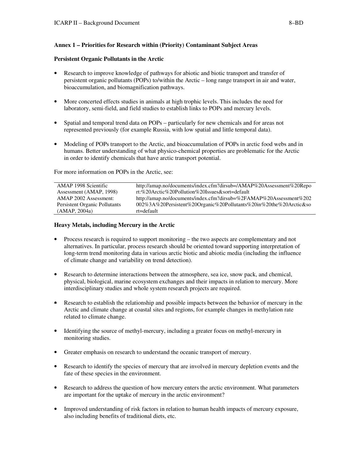# **Annex 1 – Priorities for Research within (Priority) Contaminant Subject Areas**

## **Persistent Organic Pollutants in the Arctic**

- Research to improve knowledge of pathways for abiotic and biotic transport and transfer of persistent organic pollutants (POPs) to/within the Arctic – long range transport in air and water, bioaccumulation, and biomagnification pathways.
- More concerted effects studies in animals at high trophic levels. This includes the need for laboratory, semi-field, and field studies to establish links to POPs and mercury levels.
- Spatial and temporal trend data on POPs particularly for new chemicals and for areas not represented previously (for example Russia, with low spatial and little temporal data).
- Modeling of POPs transport to the Arctic, and bioaccumulation of POPs in arctic food webs and in humans. Better understanding of what physico-chemical properties are problematic for the Arctic in order to identify chemicals that have arctic transport potential.

For more information on POPs in the Arctic, see:

| AMAP 1998 Scientific          | http://amap.no/documents/index.cfm?dirsub=/AMAP%20Assessment%20Repo |
|-------------------------------|---------------------------------------------------------------------|
| Assessment (AMAP, 1998)       | rt:%20Arctic%20Pollution%20Issues&sort=default                      |
| AMAP 2002 Assessment:         | http://amap.no/documents/index.cfm?dirsub=%2FAMAP%20Assessment%202  |
| Persistent Organic Pollutants | 002%3A%20Persistent%20Organic%20Pollutants%20in%20the%20Arctic&so   |
| (AMAP, 2004a)                 | rt=default                                                          |

# **Heavy Metals, including Mercury in the Arctic**

- Process research is required to support monitoring the two aspects are complementary and not alternatives. In particular, process research should be oriented toward supporting interpretation of long-term trend monitoring data in various arctic biotic and abiotic media (including the influence of climate change and variability on trend detection).
- Research to determine interactions between the atmosphere, sea ice, snow pack, and chemical, physical, biological, marine ecosystem exchanges and their impacts in relation to mercury. More interdisciplinary studies and whole system research projects are required.
- Research to establish the relationship and possible impacts between the behavior of mercury in the Arctic and climate change at coastal sites and regions, for example changes in methylation rate related to climate change.
- Identifying the source of methyl-mercury, including a greater focus on methyl-mercury in monitoring studies.
- Greater emphasis on research to understand the oceanic transport of mercury.
- Research to identify the species of mercury that are involved in mercury depletion events and the fate of these species in the environment.
- Research to address the question of how mercury enters the arctic environment. What parameters are important for the uptake of mercury in the arctic environment?
- Improved understanding of risk factors in relation to human health impacts of mercury exposure, also including benefits of traditional diets, etc.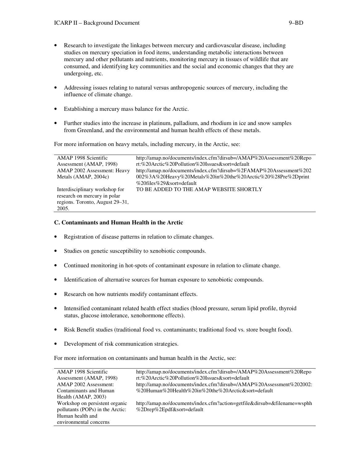- Research to investigate the linkages between mercury and cardiovascular disease, including studies on mercury speciation in food items, understanding metabolic interactions between mercury and other pollutants and nutrients, monitoring mercury in tissues of wildlife that are consumed, and identifying key communities and the social and economic changes that they are undergoing, etc.
- Addressing issues relating to natural versus anthropogenic sources of mercury, including the influence of climate change.
- Establishing a mercury mass balance for the Arctic.
- Further studies into the increase in platinum, palladium, and rhodium in ice and snow samples from Greenland, and the environmental and human health effects of these metals.

For more information on heavy metals, including mercury, in the Arctic, see:

| AMAP 1998 Scientific            | http://amap.no/documents/index.cfm?dirsub=/AMAP%20Assessment%20Repo |
|---------------------------------|---------------------------------------------------------------------|
| Assessment (AMAP, 1998)         | rt:%20Arctic%20Pollution%20Issues&sort=default                      |
| AMAP 2002 Assessment: Heavy     | http://amap.no/documents/index.cfm?dirsub=%2FAMAP%20Assessment%202  |
| Metals (AMAP, 2004c)            | 002%3A%20Heavy%20Metals%20in%20the%20Arctic%20%28Pre%2Dprint        |
|                                 | %20files%29&sort=default%                                           |
| Interdisciplinary workshop for  | TO BE ADDED TO THE AMAP WEBSITE SHORTLY                             |
| research on mercury in polar    |                                                                     |
| regions. Toronto, August 29–31, |                                                                     |
| 2005.                           |                                                                     |

#### **C. Contaminants and Human Health in the Arctic**

- Registration of disease patterns in relation to climate changes.
- Studies on genetic susceptibility to xenobiotic compounds.
- Continued monitoring in hot-spots of contaminant exposure in relation to climate change.
- Identification of alternative sources for human exposure to xenobiotic compounds.
- Research on how nutrients modify contaminant effects.
- Intensified contaminant related health effect studies (blood pressure, serum lipid profile, thyroid status, glucose intolerance, xenohormone effects).
- Risk Benefit studies (traditional food vs. contaminants; traditional food vs. store bought food).
- Development of risk communication strategies.

For more information on contaminants and human health in the Arctic, see:

| AMAP 1998 Scientific             | http://amap.no/documents/index.cfm?dirsub=/AMAP%20Assessment%20Repo      |
|----------------------------------|--------------------------------------------------------------------------|
| Assessment (AMAP, 1998)          | rt:%20Arctic%20Pollution%20Issues&sort=default                           |
| AMAP 2002 Assessment:            | http://amap.no/documents/index.cfm?dirsub=/AMAP%20Assessment%202002:     |
| Contaminants and Human           | %20Human%20Health%20in%20the%20Arctic&sort=default                       |
| Health (AMAP, 2003)              |                                                                          |
| Workshop on persistent organic   | http://amap.no/documents/index.cfm?action=getfile&dirsub=&filename=wsphh |
| pollutants (POPs) in the Arctic: | %2Drep%2Epdf&sort=default                                                |
| Human health and                 |                                                                          |
| environmental concerns           |                                                                          |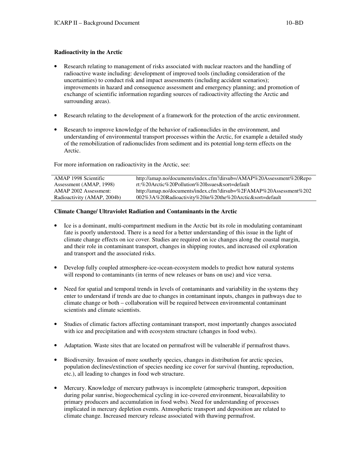## **Radioactivity in the Arctic**

- Research relating to management of risks associated with nuclear reactors and the handling of radioactive waste including: development of improved tools (including consideration of the uncertainties) to conduct risk and impact assessments (including accident scenarios); improvements in hazard and consequence assessment and emergency planning; and promotion of exchange of scientific information regarding sources of radioactivity affecting the Arctic and surrounding areas).
- Research relating to the development of a framework for the protection of the arctic environment.
- Research to improve knowledge of the behavior of radionuclides in the environment, and understanding of environmental transport processes within the Arctic, for example a detailed study of the remobilization of radionuclides from sediment and its potential long-term effects on the Arctic.

For more information on radioactivity in the Arctic, see:

| AMAP 1998 Scientific        | http://amap.no/documents/index.cfm?dirsub=/AMAP%20Assessment%20Repo |
|-----------------------------|---------------------------------------------------------------------|
| Assessment (AMAP, 1998)     | rt:%20Arctic%20Pollution%20Issues&sort=default                      |
| AMAP 2002 Assessment:       | http://amap.no/documents/index.cfm?dirsub=%2FAMAP%20Assessment%202  |
| Radioactivity (AMAP, 2004b) | 002%3A%20Radioactivity%20in%20the%20Arctic&sort=default             |

## **Climate Change/ Ultraviolet Radiation and Contaminants in the Arctic**

- Ice is a dominant, multi-compartment medium in the Arctic but its role in modulating contaminant fate is poorly understood. There is a need for a better understanding of this issue in the light of climate change effects on ice cover. Studies are required on ice changes along the coastal margin, and their role in contaminant transport, changes in shipping routes, and increased oil exploration and transport and the associated risks.
- Develop fully coupled atmosphere-ice-ocean-ecosystem models to predict how natural systems will respond to contaminants (in terms of new releases or bans on use) and vice versa.
- Need for spatial and temporal trends in levels of contaminants and variability in the systems they enter to understand if trends are due to changes in contaminant inputs, changes in pathways due to climate change or both – collaboration will be required between environmental contaminant scientists and climate scientists.
- Studies of climatic factors affecting contaminant transport, most importantly changes associated with ice and precipitation and with ecosystem structure (changes in food webs).
- Adaptation. Waste sites that are located on permafrost will be vulnerable if permafrost thaws.
- Biodiversity. Invasion of more southerly species, changes in distribution for arctic species, population declines/extinction of species needing ice cover for survival (hunting, reproduction, etc.), all leading to changes in food web structure.
- Mercury. Knowledge of mercury pathways is incomplete (atmospheric transport, deposition during polar sunrise, biogeochemical cycling in ice-covered environment, bioavailability to primary producers and accumulation in food webs). Need for understanding of processes implicated in mercury depletion events. Atmospheric transport and deposition are related to climate change. Increased mercury release associated with thawing permafrost.